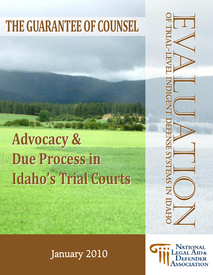# **THE GUARANTEE OF COUNSEL THE GUARANTEE OF COUNSEL**

# **Advocacy & Advocacy & Due Process in Due Process in Idaho's Trial Courts Idaho's Trial Courts**

o F<br>H E VAAL LEVEL NAMERIKE SYSTEMS IN 1981-0 le **VE** l ind i ge nt d e fe Z s E<br>S y  $\mathcal{S}_2$ te  $\sum_{i=1}^n$ s in id ah o o F<br>J E VALTEVEL DEFENSE SYSTEMS IN 1981-0 - Leve l ind  $=$ ge nt d e f e **Z** E<br>S  $\blacktriangle$  $\boldsymbol{\mathcal{S}}$ te  $\bf{N}$ s in id ah o

January 2010

**JATIONAL**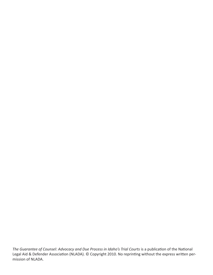*The Guarantee of Counsel: Advocacy and Due Process in Idaho's Trial Courts* is a publication of the National Legal Aid & Defender Association (NLADA). © Copyright 2010. No reprinting without the express written permission of NLADA.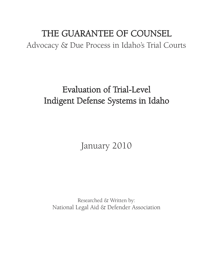# THE GUARANTEE OF COUNSEL Advocacy & Due Process in Idaho's Trial Courts

# Evaluation of Trial-Level Indigent Defense Systems in Idaho

January 2010

Researched & Written by: National Legal Aid & Defender Association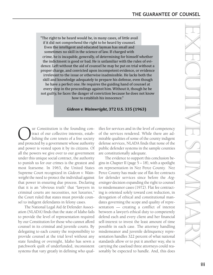"The right to be heard would be, in many cases, of little avail if it did not comprehend the right to be heard by counsel. Even the intelligent and educated layman has small and sometimes no skill in the science of law. If charged with crime, he is incapable, generally, of determining for himself whether the indictment is good or bad. He is unfamiliar with the rules of evidence. Left without the aid of counsel he may be put on trial without a proper charge, and convicted upon incompetent evidence, or evidence irrelevant to the issue or otherwise inadmissible. He lacks both the skill and knowledge adequately to prepare his defense, even though he have a perfect one. He requires the guiding hand of counsel at every step in the proceedings against him. Without it, though he be not guilty, he faces the danger of conviction because he does not know how to establish his innocence."

#### *Gideon v. Wainwright***, 372 U.S. 335 (1963)**

Our Constitution is the founding con-<br>tract of our collective interests, estab-<br>lishing the core tenets of a free society<br>and protected by a government whose authority tract of our collective interests, establishing the core tenets of a free society and protected by a government whose authority and power is vested upon it by its citizens. Of all the powers we give over to our government under this unique social contract, the authority to punish us for our crimes is the greatest and most fearsome. In 1963, the United States Supreme Court recognized in Gideon v. Wainwright the need to protect the individual against that power in ensuring due process. Declaring that it is an "obvious truth" that "lawyers in criminal courts are necessities, not luxuries," the Court ruled that states must provide counsel to indigent defendants in felony cases.

The National Legal Aid & Defender Association (NLADA) finds that the state of Idaho fails to provide the level of representation required by our Constitution for those who cannot afford counsel in its criminal and juvenile courts. By delegating to each county the responsibility to provide counsel at the trial level without any state funding or oversight, Idaho has sewn a patchwork quilt of underfunded, inconsistent systems that vary greatly in defining who qual-

ifies for services and in the level of competency of the services rendered. While there are admirable qualities of some of the county indigent defense services, NLADA finds that none of the public defender systems in the sample counties are constitutionally adequate.

The evidence to support this conclusion begins in Chapter II (page  $5 - 18$ ), with a spotlight on representation in Nez Perce County. Nez Perce County has made use of flat-fee contracts for defender services since before the Argersinger decision expanding the right to counsel to misdemeanor cases (1972). Flat fee contracting is oriented solely toward cost reduction, in derogation of ethical and constitutional mandates governing the scope and quality of representation — creating a conflict of interest between a lawyer's ethical duty to competently defend each and every client and her financial self-interest to invest the least amount of time possible in each case. The attorney handling misdemeanor and juvenile delinquency representation handles 322 percent of what national standards allow or to put it another way, she is carrying the caseload three attorneys could reasonably be expected to handle. And, this does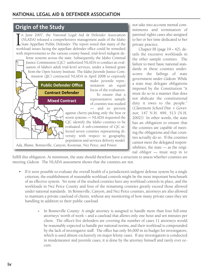### **Origin of the Study**

 $\overline{\prod_{\text{won}}$ n June 2007, the National Legal Aid & Defender Association (NLADA) released a comprehensive management audit of the Idaho State Appellate Public Defender. The report noted that many of the workload issues facing the appellate defender office could be remedied with improvements to the various county-based, trial-level indigent de-

fense systems across the state. Subsequently, the Idaho Criminal Justice Commission (CJC) authorized NLADA to conduct an evaluation of Idaho's adult trial-level services, under a limited grant from the Open Society Institute. The Idaho Juvenile Justice Commission (JJC) contracted NLADA in April 2008 to expressly



make juvenile representation an equal focus of the evaluation. To ensure that a representative sample

of counties was studied

— and to prevent against cherry-picking only the best or worst systems — NLADA requested the CJC identify the Idaho counties to be evaluated. A sub-committee of CJC selected seven counties representing diversity with respect to geography, population and services delivery model:

Ada, Blaine, Bonneville, Canyon, Kootenai, Nez Perce, and Power.

not take into account mental commitments and termination of parental rights cases also assigned to her or her time dedicated to her private practice.

Chapter III (page 19 – 42), details the excessive workloads in the other sample counties. The failure to meet basic national standards in these counties underscores the failings of state government under Gideon. While a state may delegate obligations imposed by the Constitution "it must do so in a manner that does not abdicate the constitutional duty it owes to the people." (Claremont School Dist. v. Governor, 147 N.H. 499, 513 (N.H. 2002)) In other words, the state has an obligation to ensure that the counties are capable of meeting the obligations and that counties actually do so. If the counties cannot meet the delegated responsibilities, the state — as the original obligor — must step in to

fulfill this obligation. At minimum, the state should therefore have a structure to assess whether counties are meeting Gideon. The NLADA assessment shows that the counties are not.

- If it were possible to evaluate the overall health of a jurisdiction's indigent defense system by a single criterion, the establishment of reasonable workload controls might be the most important benchmark of an effective system. Yet none of the studied counties have any workload controls in place, and the workloads in Nez Perce County and four of the remaining counties greatly exceed those allowed under national standards. In Bonneville, Canyon, and Nez Perce counties, attorneys are also allowed to maintain a private caseload of clients, without any monitoring of how many private cases they are handling in addition to their public caseload.
	- » In Bonneville County: A single attorney is assigned to handle more than four full-time attorneys' worth of work – and a caseload that allows only one hour and ten minutes per client. The office's five defenders are covering the number of cases 11 attorneys would be reasonably expected to handle per national norms, and their workload is compounded by the lack of investigative staff. The office has only \$6,000 in its budget for investigators, which is used almost exclusively on major felony cases. If any investigation is conducted in misdemeanor and juvenile cases, it is done by the attorney himself and rarely ever occurs.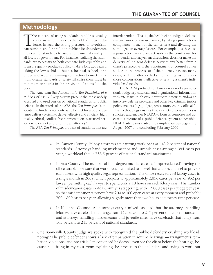## **Methodology**

The concept of using standards to address quality<br>concerns is not unique to the field of indigent de-<br>fense. In fact, the strong pressures of favoritism,<br>partisanship and/or profits on public officials underscore concerns is not unique to the field of indigent defense. In fact, the strong pressures of favoritism, partisanship, and/or profits on public officials underscore the need for standards to assure fundamental quality in all facets of government. For instance, realizing that standards are necessary to both compare bids equitably and to assure quality products, policy-makers long ago ceased taking the lowest bid to build a hospital, school, or a bridge and required winning contractors to meet minimum quality standards of safety. Likewise there must be minimum standards in the provision of counsel to the poor.

The American Bar Association's Ten Principles of a Public Defense Delivery System present the most widely accepted and used version of national standards for public defense. In the words of the ABA, the Ten Principles "constitute the fundamental criteria to be met for a public defense delivery system to deliver effective and efficient, high quality, ethical, conflict-free representation to accused persons who cannot afford to hire an attorney."

The ABA Ten Principles are a set of standards that are

interdependent. That is, the health of an indigent defense system cannot be assessed simply by rating a jurisdiction's compliance in each of the ten criteria and dividing the sum to get an average "score." For example, just because a jurisdiction has a place set aside in the courthouse for confidential attorney/client discussions does not make the delivery of indigent defense services any better from a client's perspective if the appointment of counsel comes so late in the process, or if the attorney has too many cases, or if the attorney lacks the training, as to render those conversations ineffective at serving a client's individualized needs.

The NLADA protocol combines a review of a jurisdiction's budgetary, caseload, and organizational information with site visits to observe courtroom practices and/or to interview defense providers and other key criminal justice policy-makers (e.g., judges, prosecutors, county officials). This methodology ensures that a variety of perspectives is solicited and enables NLADA to form as complete and accurate a picture of a public defense system as possible. NLADA site teams visited the sample counties beginning August 2007 and concluding February 2009.

- » In Canyon County: Felony attorneys are carrying workloads at 148.9 percent of national standards. Attorneys handling misdemeanor and juvenile cases averaged 954 cases per year, a workload that is 238.5 percent of national standard maximums.
- » In Ada County: The number of first-degree murder cases is "unprecedented" leaving the office unable to ensure that workloads are limited to a level that enables counsel to provide each client with high quality legal representation. The office received 238 felony cases in a single month in 2007, which projects to approximately 2,856 cases per year, or 952 per lawyer, permitting each lawyer to spend only 2.18 hours on each felony case. The number of misdemeanor cases in Ada County is staggering, with 12,000 cases per judge per year, so that misdemeanor attorneys have 200 to 300 open cases at every moment and probably 700 – 800 cases per year, allowing slightly more than two hours of attorney time per case.
- In Kootenai County: All attorneys carry a mixed caseload, but the attorneys handling felonies have caseloads that range from 152 percent to 217 percent of national standards, and attorneys handling misdemeanor and juvenile cases have caseloads that range from 163 percent to 213 percent of national standards.
- One Bonneville County judge we spoke with recognized the public defenders' crushing workload, noting: "The public defender shows a lack of preparation in routine hearings — arraignments, probation violations, and pre-trials. I'm convinced he doesn't even see the client before the hearings, because he's sitting in my courtroom explaining the process to the defendant and trying to work out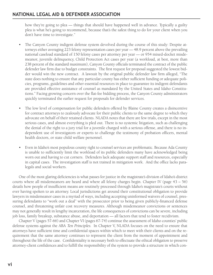how they're going to plea — things that should have happened well in advance. Typically a guilty plea is what he's going to recommend, because that's the safest thing to do for your client when you don't have time to investigate."

- The Canyon County indigent defense system devolved during the course of this study: Despite attorneys either averaging 223 felony representation cases per year — 48.9 percent above the prevailing national caseload standard of 150 felony cases per attorney per year — or 954 mixed-docket misdemeanor, juvenile delinquency, Child Protection Act cases per year (a workload, at best, more than 238 percent of the standard maximum), Canyon County officials terminated the contract of the public defender law firm due to budget constraints. The first request for proposal suggested the lowest bidder would win the new contract. A lawsuit by the original public defender law firm alleged, "The state does nothing to ensure that any particular county has either sufficient funding or adequate policies, programs, guidelines and other essential resources in place to guarantee its indigent defendants are provided effective assistance of counsel as mandated by the United States and Idaho Constitutions." Facing growing concern over the flat-fee bidding process, the Canyon County administrators quickly terminated the earlier request for proposals for defender services.
- The low level of compensation for public defenders offered by Blaine County creates a disincentive for contract attorneys to zealously advocate for their public clients to the same degree to which they advocate on behalf of their retained clients. NLADA notes that there are few trials, except in the most serious cases, and almost everything is pled out. There is no systemic litigation, such as challenging the denial of the right to a jury trial for a juvenile charged with a serious offense, and there is no independent use of investigators or experts to challenge the testimony of probation officers, mental health doctors, or state child welfare personnel.
- Even in Idaho's most populous county right to counsel services are problematic. Because Ada County is unable to sufficiently limit the workload of its public defenders many have acknowledged being worn out and having to cut corners. Defenders lack adequate support staff and resources, especially in capital cases. The investigation staff is not trained in mitigation work. And the office lacks paralegals and social workers.

One of the most glaring deficiencies is what passes for justice in the magistrate's division of Idaho's district courts where all misdemeanors are heard and where all felony charges begin. Chapter IV (page 43 – 56) details how people of insufficient means are routinely processed through Idaho's magistrate's courts without ever having spoken to an attorney. Local jurisdictions get around their constitutional obligation to provide lawyers in misdemeanor cases in a myriad of ways, including accepting uninformed waivers of counsel, pressuring defendants to "work out a deal" with the prosecutor prior to being given publicly-financed defense counsel, and threatening unfair cost recovery measures. Although misdemeanor convictions or sentences may not generally result in lengthy incarceration, the life consequences of convictions can be severe, including job loss, family breakup, substance abuse, and deportation — all factors that tend to foster recidivism.

Chapter V (pages 57-66) and Chapter VI (pages 67-74) continue the assessment of Idaho counties' public defense systems against the ABA Ten Principles. In Chapter V, NLADA focuses on the need to ensure that attorneys have sufficient time and confidential spaces within which to meet with their clients and on the requirement that the same attorney continues to represent the client from the moment of appointment and throughout the life of the case. Confidentiality is necessary both to effectuate the ethical obligation to preserve attorney-client confidences and to fulfill the responsibility of the system to provide a structure in which con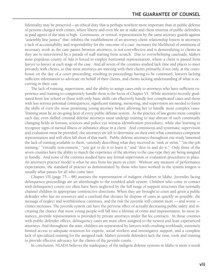fidentiality may be preserved – an ethical duty that is perhaps nowhere more important than in public defense of persons charged with crimes, where liberty and even life are at stake and client mistrust of public defenders as paid agents of the state is high. Continuous, or vertical, representation by the same attorney guards against "assembly line justice" that: inhibits the establishment of an attorney-client relationship fosters in attorneys a lack of accountability and responsibility for the outcome of a case, increases the likelihood of omissions of necessary work as the case passes between attorneys, is not cost-effective and is demoralizing to clients as they are re-interviewed by a parade of staff starting from scratch. Due to overwhelming caseloads, Idaho's most populous county of Ada is forced to employ horizontal representation, where a client is passed from lawyer to lawyer at each stage of the case. And all seven of the counties studied lack time and places to meet privately with clients, so that most attorneys are meeting with their clients primarily, if not only, at the courthouse on the day of a court proceeding, resulting in proceedings having to be continued, lawyers lacking sufficient information to advocate on behalf of their clients, and clients lacking understanding of what is occurring in their case.

The lack of training, supervision, and the ability to assign cases only to attorneys who have sufficient experience and training to competently handle them is the focus of Chapter VI. While attorneys recently graduated from law school or those with only basic skills can effectively handle less complicated cases and those with less serious potential consequences, significant training, mentoring, and supervision are needed to foster the skills of even the most promising young attorney before allowing her to handle more complex cases. Training must be an on-going facet of every public defense system. As the practice of law grows more complex each day, even skilled criminal defense attorneys must undergo training to stay abreast of such continually changing fields as forensic sciences and police eye witness identification procedures, while also learning to recognize signs of mental illness or substance abuse in a client. And continuous and systematic supervision and evaluation must be provided, else attorneys are left to determine on their own what constitutes competent representation and will often fall short of that mark. Public defense attorneys throughout our study lamented the lack of training available to them, variously describing what they received as "sink or swim," "on-the-job training," "virtually non-existent," "you got to do it to learn it," and "dive in and do it." Only three of the seven counties have the ability to match the experience of the attorney to the case-type they are being assigned to handle. And none of the counties studied have any formal supervision or evaluation procedures in place. An attorney's practice model is what he sees from his peers in court. Without any measure of performance expectations, the standard of practice as demonstrated by those who have worked in the system longest is usually what passes for all who come later.

Chapter VII (page 75 – 88) assesses the representation of indigent children in Idaho. Juveniles facing delinquency proceedings are an afterthought to the troubled adult system. Children who come in contact with delinquency courts too often have been neglected by the full range of support structures that normally channel children in appropriate constructive directions. When they are brought to court and given a public defender who has no resources and a caseload that dictates he dispose of cases as quickly as possible, the message of neglect and worthlessness continues, and the risk the juvenile will commit more — and worse crimes increases. The juvenile system can have the perverse effect of actually decreasing public safety and increasing the chance that more young people will fall into a lifetime of crime and imprisonment. In most instances, juvenile representation is provided by private attorneys under flat fee contracts. In those counties with public defender offices, delinquency cases are most often assigned to the newest and least experienced attorneys. And throughout the state, children are represented by lawyers with crushing workloads, extremely limited access to adequate resources for experts, social workers and investigative support, and a complete lack of specialized training for the assigned task. Idaho's juvenile defenders lack the time, tools and training to provide effective advocacy for the clients of the juvenile courts.

In conclusion, NLADA believes the inadequacy of the indigent defense systems in Idaho is more a result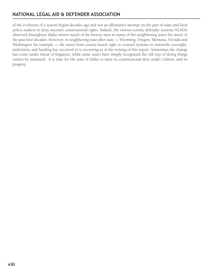### **NATIONAL LEGAL AID & DEFENDER ASSOCIATION**

of the evolution of a system begun decades ago and not an affirmative attempt on the part of state and local policy-makers to deny anyone's constitutional rights. Indeed, the various county defender systems NLADA observed throughout Idaho mirror much of the history seen in many of her neighboring states for much of the past four decades. However, in neighboring state after state — Wyoming, Oregon, Montana, Nevada and Washington for example — the move from county-based right to counsel systems to statewide oversight, uniformity, and funding has occurred or is occurring as of the writing of this report. Sometimes the change has come under threat of litigation, while some states have simply recognized the old way of doing things cannot be sustained. It is time for the state of Idaho to meet its constitutional duty under Gideon, and its progeny.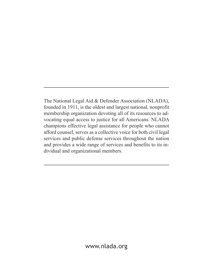The National Legal Aid & Defender Association (NLADA), founded in 1911, is the oldest and largest national, nonprofit membership organization devoting all of its resources to advocating equal access to justice for all Americans. NLADA champions effective legal assistance for people who cannot afford counsel, serves as a collective voice for both civil legal services and public defense services throughout the nation and provides a wide range of services and benefits to its individual and organizational members.